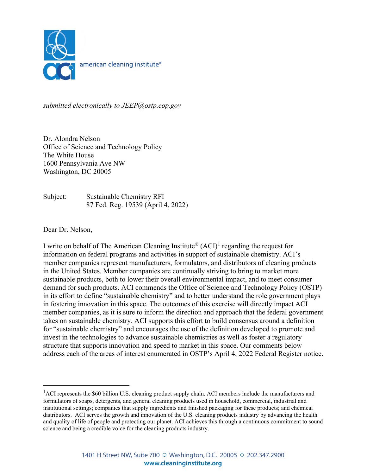

*submitted electronically to JEEP@ostp.eop.gov*

Dr. Alondra Nelson Office of Science and Technology Policy The White House 1600 Pennsylvania Ave NW Washington, DC 20005

Subject: Sustainable Chemistry RFI 87 Fed. Reg. 19539 (April 4, 2022)

Dear Dr. Nelson,

I write on behalf of The American Cleaning Institute<sup>®</sup>  $(ACI)^1$  $(ACI)^1$  regarding the request for information on federal programs and activities in support of sustainable chemistry. ACI's member companies represent manufacturers, formulators, and distributors of cleaning products in the United States. Member companies are continually striving to bring to market more sustainable products, both to lower their overall environmental impact, and to meet consumer demand for such products. ACI commends the Office of Science and Technology Policy (OSTP) in its effort to define "sustainable chemistry" and to better understand the role government plays in fostering innovation in this space. The outcomes of this exercise will directly impact ACI member companies, as it is sure to inform the direction and approach that the federal government takes on sustainable chemistry. ACI supports this effort to build consensus around a definition for "sustainable chemistry" and encourages the use of the definition developed to promote and invest in the technologies to advance sustainable chemistries as well as foster a regulatory structure that supports innovation and speed to market in this space. Our comments below address each of the areas of interest enumerated in OSTP's April 4, 2022 Federal Register notice.

<span id="page-0-0"></span><sup>&</sup>lt;sup>1</sup>ACI represents the \$60 billion U.S. cleaning product supply chain. ACI members include the manufacturers and formulators of soaps, detergents, and general cleaning products used in household, commercial, industrial and institutional settings; companies that supply ingredients and finished packaging for these products; and chemical distributors. ACI serves the growth and innovation of the U.S. cleaning products industry by advancing the health and quality of life of people and protecting our planet. ACI achieves this through a continuous commitment to sound science and being a credible voice for the cleaning products industry.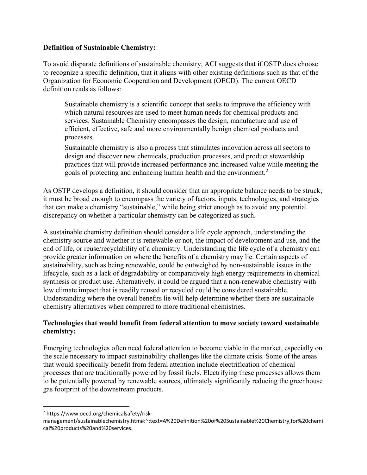## **Definition of Sustainable Chemistry:**

To avoid disparate definitions of sustainable chemistry, ACI suggests that if OSTP does choose to recognize a specific definition, that it aligns with other existing definitions such as that of the Organization for Economic Cooperation and Development (OECD). The current OECD definition reads as follows:

Sustainable chemistry is a scientific concept that seeks to improve the efficiency with which natural resources are used to meet human needs for chemical products and services. Sustainable Chemistry encompasses the design, manufacture and use of efficient, effective, safe and more environmentally benign chemical products and processes.

Sustainable chemistry is also a process that stimulates innovation across all sectors to design and discover new chemicals, production processes, and product stewardship practices that will provide increased performance and increased value while meeting the goals of protecting and enhancing human health and the environment.<sup>[2](#page-1-0)</sup>

As OSTP develops a definition, it should consider that an appropriate balance needs to be struck; it must be broad enough to encompass the variety of factors, inputs, technologies, and strategies that can make a chemistry "sustainable," while being strict enough as to avoid any potential discrepancy on whether a particular chemistry can be categorized as such.

A sustainable chemistry definition should consider a life cycle approach, understanding the chemistry source and whether it is renewable or not, the impact of development and use, and the end of life, or reuse/recyclability of a chemistry. Understanding the life cycle of a chemistry can provide greater information on where the benefits of a chemistry may lie. Certain aspects of sustainability, such as being renewable, could be outweighed by non-sustainable issues in the lifecycle, such as a lack of degradability or comparatively high energy requirements in chemical synthesis or product use. Alternatively, it could be argued that a non-renewable chemistry with low climate impact that is readily reused or recycled could be considered sustainable. Understanding where the overall benefits lie will help determine whether there are sustainable chemistry alternatives when compared to more traditional chemistries.

# **Technologies that would benefit from federal attention to move society toward sustainable chemistry:**

Emerging technologies often need federal attention to become viable in the market, especially on the scale necessary to impact sustainability challenges like the climate crisis. Some of the areas that would specifically benefit from federal attention include electrification of chemical processes that are traditionally powered by fossil fuels. Electrifying these processes allows them to be potentially powered by renewable sources, ultimately significantly reducing the greenhouse gas footprint of the downstream products.

<span id="page-1-0"></span><sup>2</sup> https://www.oecd.org/chemicalsafety/risk-

management/sustainablechemistry.htm#:~:text=A%20Definition%20of%20Sustainable%20Chemistry,for%20chemi cal%20products%20and%20services.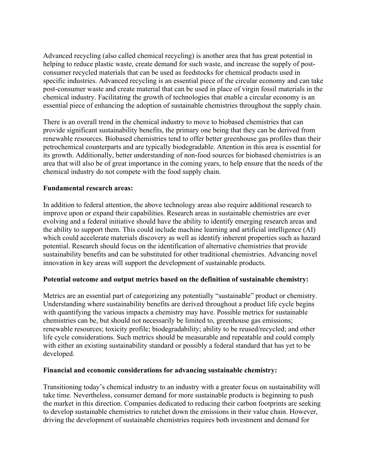Advanced recycling (also called chemical recycling) is another area that has great potential in helping to reduce plastic waste, create demand for such waste, and increase the supply of postconsumer recycled materials that can be used as feedstocks for chemical products used in specific industries. Advanced recycling is an essential piece of the circular economy and can take post-consumer waste and create material that can be used in place of virgin fossil materials in the chemical industry. Facilitating the growth of technologies that enable a circular economy is an essential piece of enhancing the adoption of sustainable chemistries throughout the supply chain.

There is an overall trend in the chemical industry to move to biobased chemistries that can provide significant sustainability benefits, the primary one being that they can be derived from renewable resources. Biobased chemistries tend to offer better greenhouse gas profiles than their petrochemical counterparts and are typically biodegradable. Attention in this area is essential for its growth. Additionally, better understanding of non-food sources for biobased chemistries is an area that will also be of great importance in the coming years, to help ensure that the needs of the chemical industry do not compete with the food supply chain.

## **Fundamental research areas:**

In addition to federal attention, the above technology areas also require additional research to improve upon or expand their capabilities. Research areas in sustainable chemistries are ever evolving and a federal initiative should have the ability to identify emerging research areas and the ability to support them. This could include machine learning and artificial intelligence (AI) which could accelerate materials discovery as well as identify inherent properties such as hazard potential. Research should focus on the identification of alternative chemistries that provide sustainability benefits and can be substituted for other traditional chemistries. Advancing novel innovation in key areas will support the development of sustainable products.

#### **Potential outcome and output metrics based on the definition of sustainable chemistry:**

Metrics are an essential part of categorizing any potentially "sustainable" product or chemistry. Understanding where sustainability benefits are derived throughout a product life cycle begins with quantifying the various impacts a chemistry may have. Possible metrics for sustainable chemistries can be, but should not necessarily be limited to, greenhouse gas emissions; renewable resources; toxicity profile; biodegradability; ability to be reused/recycled; and other life cycle considerations. Such metrics should be measurable and repeatable and could comply with either an existing sustainability standard or possibly a federal standard that has yet to be developed.

#### **Financial and economic considerations for advancing sustainable chemistry:**

Transitioning today's chemical industry to an industry with a greater focus on sustainability will take time. Nevertheless, consumer demand for more sustainable products is beginning to push the market in this direction. Companies dedicated to reducing their carbon footprints are seeking to develop sustainable chemistries to ratchet down the emissions in their value chain. However, driving the development of sustainable chemistries requires both investment and demand for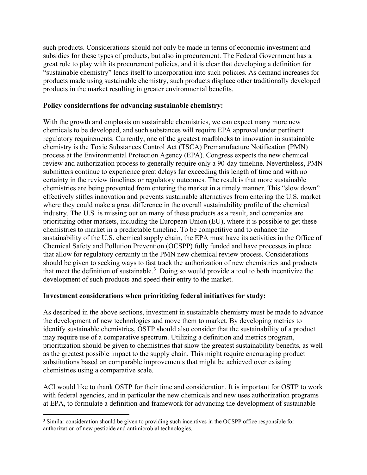such products. Considerations should not only be made in terms of economic investment and subsidies for these types of products, but also in procurement. The Federal Government has a great role to play with its procurement policies, and it is clear that developing a definition for "sustainable chemistry" lends itself to incorporation into such policies. As demand increases for products made using sustainable chemistry, such products displace other traditionally developed products in the market resulting in greater environmental benefits.

### **Policy considerations for advancing sustainable chemistry:**

With the growth and emphasis on sustainable chemistries, we can expect many more new chemicals to be developed, and such substances will require EPA approval under pertinent regulatory requirements. Currently, one of the greatest roadblocks to innovation in sustainable chemistry is the Toxic Substances Control Act (TSCA) Premanufacture Notification (PMN) process at the Environmental Protection Agency (EPA). Congress expects the new chemical review and authorization process to generally require only a 90-day timeline. Nevertheless, PMN submitters continue to experience great delays far exceeding this length of time and with no certainty in the review timelines or regulatory outcomes. The result is that more sustainable chemistries are being prevented from entering the market in a timely manner. This "slow down" effectively stifles innovation and prevents sustainable alternatives from entering the U.S. market where they could make a great difference in the overall sustainability profile of the chemical industry. The U.S. is missing out on many of these products as a result, and companies are prioritizing other markets, including the European Union (EU), where it is possible to get these chemistries to market in a predictable timeline. To be competitive and to enhance the sustainability of the U.S. chemical supply chain, the EPA must have its activities in the Office of Chemical Safety and Pollution Prevention (OCSPP) fully funded and have processes in place that allow for regulatory certainty in the PMN new chemical review process. Considerations should be given to seeking ways to fast track the authorization of new chemistries and products that meet the definition of sustainable.<sup>[3](#page-3-0)</sup> Doing so would provide a tool to both incentivize the development of such products and speed their entry to the market.

# **Investment considerations when prioritizing federal initiatives for study:**

As described in the above sections, investment in sustainable chemistry must be made to advance the development of new technologies and move them to market. By developing metrics to identify sustainable chemistries, OSTP should also consider that the sustainability of a product may require use of a comparative spectrum. Utilizing a definition and metrics program, prioritization should be given to chemistries that show the greatest sustainability benefits, as well as the greatest possible impact to the supply chain. This might require encouraging product substitutions based on comparable improvements that might be achieved over existing chemistries using a comparative scale.

ACI would like to thank OSTP for their time and consideration. It is important for OSTP to work with federal agencies, and in particular the new chemicals and new uses authorization programs at EPA, to formulate a definition and framework for advancing the development of sustainable

<span id="page-3-0"></span><sup>&</sup>lt;sup>3</sup> Similar consideration should be given to providing such incentives in the OCSPP office responsible for authorization of new pesticide and antimicrobial technologies.